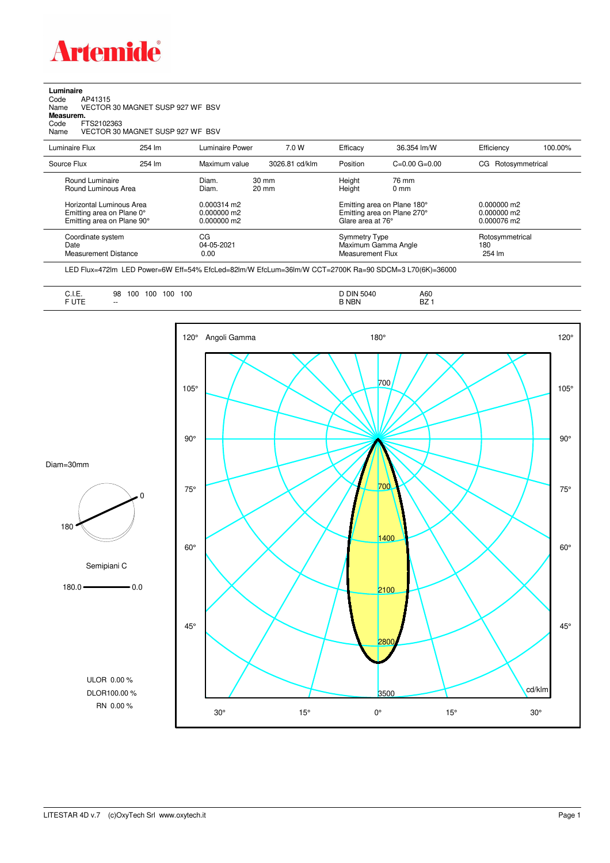

**Luminaire**<br>Code /<br>Name \ Code AP41315 Name VECTOR 30 MAGNET SUSP 927 WF BSV **Measurem.** Code FTS2102363 Name VECTOR 30 MAGNET SUSP 927 WF BSV

| Luminaire Flux                                                     | 254 lm | Luminaire Power                 | 7.0 W                              | Efficacy                                 | 36.354 lm/W                                            | Efficiency                       | 100.00% |
|--------------------------------------------------------------------|--------|---------------------------------|------------------------------------|------------------------------------------|--------------------------------------------------------|----------------------------------|---------|
| Source Flux                                                        | 254 lm | Maximum value                   | 3026.81 cd/klm                     | Position                                 | $C=0.00$ $G=0.00$                                      | Rotosymmetrical<br>CG.           |         |
| Round Luminaire<br>Round Luminous Area<br>Horizontal Luminous Area |        | Diam.<br>Diam.<br>$0.000314$ m2 | $30 \text{ mm}$<br>$20 \text{ mm}$ | Height<br>Height                         | 76 mm<br>$0 \text{ mm}$<br>Emitting area on Plane 180° | $0.000000$ m2                    |         |
| Emitting area on Plane 0°<br>Emitting area on Plane 90°            |        | $0.000000$ m2<br>$0.000000$ m2  |                                    | Glare area at 76°                        | Emitting area on Plane 270°                            | $0.000000$ m2<br>0.000076 m2     |         |
| Coordinate system<br>Date<br>Measurement Distance                  |        | CG<br>04-05-2021<br>0.00        |                                    | <b>Symmetry Type</b><br>Measurement Flux | Maximum Gamma Angle                                    | Rotosymmetrical<br>180<br>254 lm |         |

LED Flux=472lm LED Power=6W Eff=54% EfcLed=82lm/W EfcLum=36lm/W CCT=2700K Ra=90 SDCM=3 L70(6K)=36000

| $- -$<br>DZ.<br>ᄓᇉ | . .<br>◡…<br>$\sim$ $\sim$ $\sim$ $\sim$ $\sim$ $\sim$ $\sim$<br>1.177 | 100<br>100<br>100<br>98<br>100<br>. . | <b>DIN</b><br>5040<br>.<br><b>NBN</b> | A60<br>$ -$<br>$\overline{\phantom{0}}$ |
|--------------------|------------------------------------------------------------------------|---------------------------------------|---------------------------------------|-----------------------------------------|
|--------------------|------------------------------------------------------------------------|---------------------------------------|---------------------------------------|-----------------------------------------|